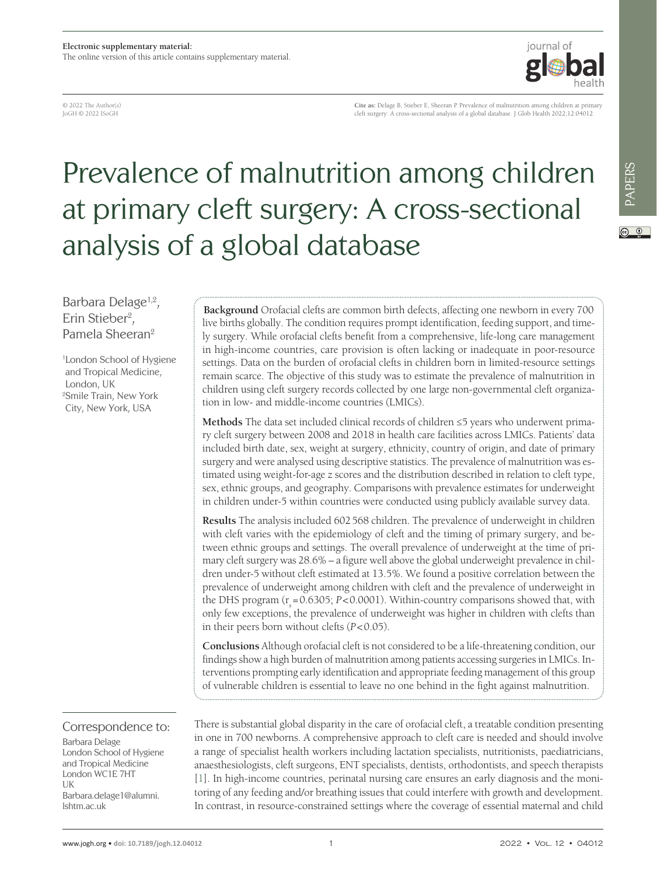© 2022 The Author(s) JoGH © 2022 ISoGH

**Cite as:** Delage B, Stieber E, Sheeran P. Prevalence of malnutrition among children at primary cleft surgery: A cross-sectional analysis of a global database. J Glob Health 2022;12:04012.

iournal of

# Prevalence of malnutrition among children at primary cleft surgery: A cross-sectional analysis of a global database

 $\odot$   $\odot$ 

Barbara Delage<sup>1,2</sup>, Erin Stieber<sup>2</sup>, Pamela Sheeran2

1 London School of Hygiene and Tropical Medicine, London, UK 2 Smile Train, New York City, New York, USA

Correspondence to:

Barbara Delage London School of Hygiene and Tropical Medicine London WC1E 7HT UK Barbara.delage1@alumni. lshtm.ac.uk

**Background** Orofacial clefts are common birth defects, affecting one newborn in every 700 live births globally. The condition requires prompt identification, feeding support, and timely surgery. While orofacial clefts benefit from a comprehensive, life-long care management in high-income countries, care provision is often lacking or inadequate in poor-resource settings. Data on the burden of orofacial clefts in children born in limited-resource settings remain scarce. The objective of this study was to estimate the prevalence of malnutrition in children using cleft surgery records collected by one large non-governmental cleft organization in low- and middle-income countries (LMICs).

**Methods** The data set included clinical records of children ≤5 years who underwent primary cleft surgery between 2008 and 2018 in health care facilities across LMICs. Patients' data included birth date, sex, weight at surgery, ethnicity, country of origin, and date of primary surgery and were analysed using descriptive statistics. The prevalence of malnutrition was estimated using weight-for-age z scores and the distribution described in relation to cleft type, sex, ethnic groups, and geography. Comparisons with prevalence estimates for underweight in children under-5 within countries were conducted using publicly available survey data.

**Results** The analysis included 602568 children. The prevalence of underweight in children with cleft varies with the epidemiology of cleft and the timing of primary surgery, and between ethnic groups and settings. The overall prevalence of underweight at the time of primary cleft surgery was 28.6% – a figure well above the global underweight prevalence in children under-5 without cleft estimated at 13.5%. We found a positive correlation between the prevalence of underweight among children with cleft and the prevalence of underweight in the DHS program (r<sub>s</sub>=0.6305; *P*<0.0001). Within-country comparisons showed that, with only few exceptions, the prevalence of underweight was higher in children with clefts than in their peers born without clefts (*P*<0.05).

**Conclusions** Although orofacial cleft is not considered to be a life-threatening condition, our findings show a high burden of malnutrition among patients accessing surgeries in LMICs. Interventions prompting early identification and appropriate feeding management of this group of vulnerable children is essential to leave no one behind in the fight against malnutrition.

There is substantial global disparity in the care of orofacial cleft, a treatable condition presenting in one in 700 newborns. A comprehensive approach to cleft care is needed and should involve a range of specialist health workers including lactation specialists, nutritionists, paediatricians, anaesthesiologists, cleft surgeons, ENT specialists, dentists, orthodontists, and speech therapists [[1\]](#page-8-0). In high-income countries, perinatal nursing care ensures an early diagnosis and the monitoring of any feeding and/or breathing issues that could interfere with growth and development. In contrast, in resource-constrained settings where the coverage of essential maternal and child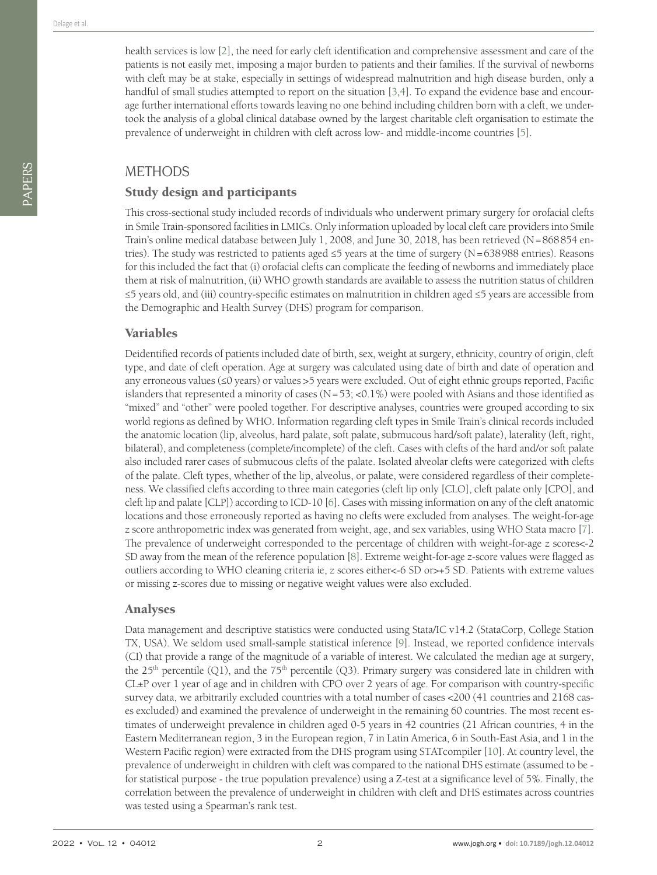health services is low [\[2\]](#page-8-1), the need for early cleft identification and comprehensive assessment and care of the patients is not easily met, imposing a major burden to patients and their families. If the survival of newborns with cleft may be at stake, especially in settings of widespread malnutrition and high disease burden, only a handful of small studies attempted to report on the situation [\[3](#page-8-2),[4\]](#page-8-3). To expand the evidence base and encourage further international efforts towards leaving no one behind including children born with a cleft, we undertook the analysis of a global clinical database owned by the largest charitable cleft organisation to estimate the prevalence of underweight in children with cleft across low- and middle-income countries [[5\]](#page-8-4).

# METHODS

# Study design and participants

This cross-sectional study included records of individuals who underwent primary surgery for orofacial clefts in Smile Train-sponsored facilities in LMICs. Only information uploaded by local cleft care providers into Smile Train's online medical database between July 1, 2008, and June 30, 2018, has been retrieved (N=868854 entries). The study was restricted to patients aged ≤5 years at the time of surgery (N=638988 entries). Reasons for this included the fact that (i) orofacial clefts can complicate the feeding of newborns and immediately place them at risk of malnutrition, (ii) WHO growth standards are available to assess the nutrition status of children ≤5 years old, and (iii) country-specific estimates on malnutrition in children aged ≤5 years are accessible from the Demographic and Health Survey (DHS) program for comparison.

### Variables

Deidentified records of patients included date of birth, sex, weight at surgery, ethnicity, country of origin, cleft type, and date of cleft operation. Age at surgery was calculated using date of birth and date of operation and any erroneous values (≤0 years) or values >5 years were excluded. Out of eight ethnic groups reported, Pacific islanders that represented a minority of cases  $(N=53; <0.1%)$  were pooled with Asians and those identified as "mixed" and "other" were pooled together. For descriptive analyses, countries were grouped according to six world regions as defined by WHO. Information regarding cleft types in Smile Train's clinical records included the anatomic location (lip, alveolus, hard palate, soft palate, submucous hard/soft palate), laterality (left, right, bilateral), and completeness (complete/incomplete) of the cleft. Cases with clefts of the hard and/or soft palate also included rarer cases of submucous clefts of the palate. Isolated alveolar clefts were categorized with clefts of the palate. Cleft types, whether of the lip, alveolus, or palate, were considered regardless of their completeness. We classified clefts according to three main categories (cleft lip only [CLO], cleft palate only [CPO], and cleft lip and palate [CLP]) according to ICD-10 [[6\]](#page-8-5). Cases with missing information on any of the cleft anatomic locations and those erroneously reported as having no clefts were excluded from analyses. The weight-for-age z score anthropometric index was generated from weight, age, and sex variables, using WHO Stata macro [[7\]](#page-8-6). The prevalence of underweight corresponded to the percentage of children with weight-for-age z scores<-2 SD away from the mean of the reference population [\[8](#page-8-7)]. Extreme weight-for-age z-score values were flagged as outliers according to WHO cleaning criteria ie, z scores either<-6 SD or>+5 SD. Patients with extreme values or missing z-scores due to missing or negative weight values were also excluded.

### Analyses

Data management and descriptive statistics were conducted using Stata/IC v14.2 (StataCorp, College Station TX, USA). We seldom used small-sample statistical inference [\[9](#page-8-8)]. Instead, we reported confidence intervals (CI) that provide a range of the magnitude of a variable of interest. We calculated the median age at surgery, the  $25<sup>th</sup>$  percentile (Q1), and the  $75<sup>th</sup>$  percentile (Q3). Primary surgery was considered late in children with CL±P over 1 year of age and in children with CPO over 2 years of age. For comparison with country-specific survey data, we arbitrarily excluded countries with a total number of cases <200 (41 countries and 2168 cases excluded) and examined the prevalence of underweight in the remaining 60 countries. The most recent estimates of underweight prevalence in children aged 0-5 years in 42 countries (21 African countries, 4 in the Eastern Mediterranean region, 3 in the European region, 7 in Latin America, 6 in South-East Asia, and 1 in the Western Pacific region) were extracted from the DHS program using STATcompiler [\[10](#page-8-9)]. At country level, the prevalence of underweight in children with cleft was compared to the national DHS estimate (assumed to be for statistical purpose - the true population prevalence) using a Z-test at a significance level of 5%. Finally, the correlation between the prevalence of underweight in children with cleft and DHS estimates across countries was tested using a Spearman's rank test.

PAPERS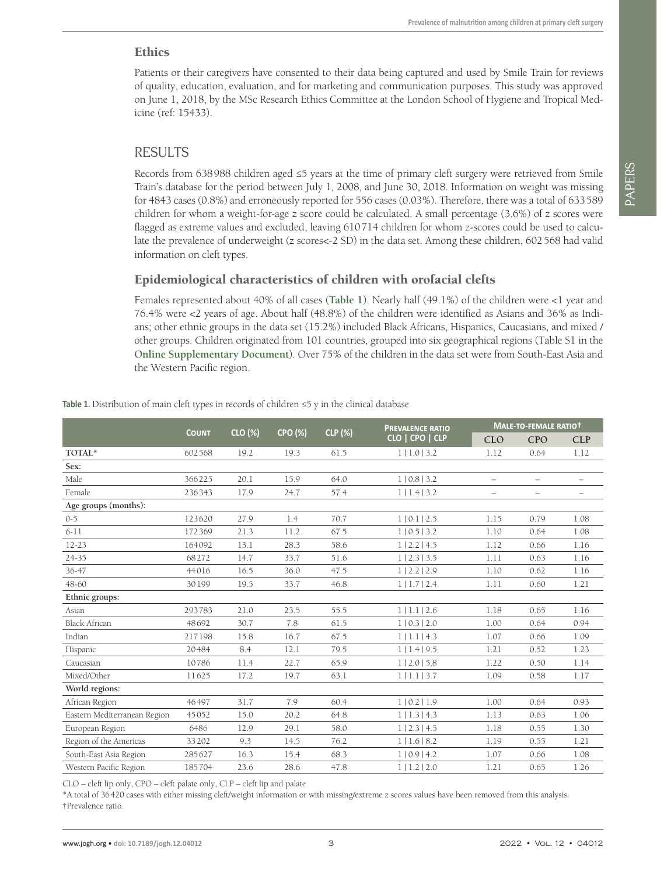#### **Ethics**

Patients or their caregivers have consented to their data being captured and used by Smile Train for reviews of quality, education, evaluation, and for marketing and communication purposes. This study was approved on June 1, 2018, by the MSc Research Ethics Committee at the London School of Hygiene and Tropical Medicine (ref: 15433).

# RESULTS

Records from 638988 children aged ≤5 years at the time of primary cleft surgery were retrieved from Smile Train's database for the period between July 1, 2008, and June 30, 2018. Information on weight was missing for 4843 cases (0.8%) and erroneously reported for 556 cases (0.03%). Therefore, there was a total of 633589 children for whom a weight-for-age z score could be calculated. A small percentage (3.6%) of z scores were flagged as extreme values and excluded, leaving 610714 children for whom z-scores could be used to calculate the prevalence of underweight (z scores<-2 SD) in the data set. Among these children, 602568 had valid information on cleft types.

# Epidemiological characteristics of children with orofacial clefts

Females represented about 40% of all cases (**[Table 1](#page-2-0)**). Nearly half (49.1%) of the children were <1 year and 76.4% were <2 years of age. About half (48.8%) of the children were identified as Asians and 36% as Indians; other ethnic groups in the data set (15.2%) included Black Africans, Hispanics, Caucasians, and mixed / other groups. Children originated from 101 countries, grouped into six geographical regions (Table S1 in the **[Online Supplementary Document](#page-8-10)**). Over 75% of the children in the data set were from South-East Asia and the Western Pacific region.

|                              |              |         |                |                | <b>PREVALENCE RATIO</b><br>CLO   CPO   CLP | MALE-TO-FEMALE RATIOT    |                          |                          |
|------------------------------|--------------|---------|----------------|----------------|--------------------------------------------|--------------------------|--------------------------|--------------------------|
|                              | <b>COUNT</b> | CLO (%) | <b>CPO (%)</b> | <b>CLP</b> (%) |                                            | <b>CLO</b>               | <b>CPO</b>               | <b>CLP</b>               |
| TOTAL*                       | 602568       | 19.2    | 19.3           | 61.5           | 1   1.0   3.2                              | 1.12                     | 0.64                     | 1.12                     |
| Sex:                         |              |         |                |                |                                            |                          |                          |                          |
| Male                         | 366225       | 20.1    | 15.9           | 64.0           | 110.813.2                                  | $\overline{\phantom{0}}$ | $\overline{\phantom{0}}$ | $\overline{\phantom{0}}$ |
| Female                       | 236343       | 17.9    | 24.7           | 57.4           | 1   1.4   3.2                              | $\qquad \qquad -$        | $\overline{\phantom{0}}$ | $\overline{\phantom{0}}$ |
| Age groups (months):         |              |         |                |                |                                            |                          |                          |                          |
| $0 - 5$                      | 123620       | 27.9    | 1.4            | 70.7           | 1   0.1   2.5                              | 1.15                     | 0.79                     | 1.08                     |
| $6 - 11$                     | 172369       | 21.3    | 11.2           | 67.5           | 1   0.5   3.2                              | 1.10                     | 0.64                     | 1.08                     |
| $12 - 23$                    | 164092       | 13.1    | 28.3           | 58.6           | 1 2.2 4.5                                  | 1.12                     | 0.66                     | 1.16                     |
| $24 - 35$                    | 68272        | 14.7    | 33.7           | 51.6           | 1 2.3 3.5                                  | 1.11                     | 0.63                     | 1.16                     |
| 36-47                        | 44016        | 16.5    | 36.0           | 47.5           | 1   2.2   2.9                              | 1.10                     | 0.62                     | 1.16                     |
| 48-60                        | 30199        | 19.5    | 33.7           | 46.8           | 1   1.7   2.4                              | 1.11                     | 0.60                     | 1.21                     |
| Ethnic groups:               |              |         |                |                |                                            |                          |                          |                          |
| Asian                        | 293783       | 21.0    | 23.5           | 55.5           | 1   1.1   2.6                              | 1.18                     | 0.65                     | 1.16                     |
| <b>Black African</b>         | 48692        | 30.7    | 7.8            | 61.5           | 1   0.3   2.0                              | 1.00                     | 0.64                     | 0.94                     |
| Indian                       | 217198       | 15.8    | 16.7           | 67.5           | 1   1.1   4.3                              | 1.07                     | 0.66                     | 1.09                     |
| Hispanic                     | 20484        | 8.4     | 12.1           | 79.5           | 1 1.4 9.5                                  | 1.21                     | 0.52                     | 1.23                     |
| Caucasian                    | 10786        | 11.4    | 22.7           | 65.9           | 1   2.0   5.8                              | 1.22                     | 0.50                     | 1.14                     |
| Mixed/Other                  | 11625        | 17.2    | 19.7           | 63.1           | 1   1.1   3.7                              | 1.09                     | 0.58                     | 1.17                     |
| World regions:               |              |         |                |                |                                            |                          |                          |                          |
| African Region               | 46497        | 31.7    | 7.9            | 60.4           | 1   0.2   1.9                              | 1.00                     | 0.64                     | 0.93                     |
| Eastern Mediterranean Region | 45052        | 15.0    | 20.2           | 64.8           | 1   1.3   4.3                              | 1.13                     | 0.63                     | 1.06                     |
| European Region              | 6486         | 12.9    | 29.1           | 58.0           | 1   2.3   4.5                              | 1.18                     | 0.55                     | 1.30                     |
| Region of the Americas       | 33202        | 9.3     | 14.5           | 76.2           | 1   1.6   8.2                              | 1.19                     | 0.55                     | 1.21                     |
| South-East Asia Region       | 285627       | 16.3    | 15.4           | 68.3           | 1   0.9   4.2                              | 1.07                     | 0.66                     | 1.08                     |
| Western Pacific Region       | 185704       | 23.6    | 28.6           | 47.8           | 1   1.2   2.0                              | 1.21                     | 0.65                     | 1.26                     |

<span id="page-2-0"></span>Table 1. Distribution of main cleft types in records of children ≤5 y in the clinical database

CLO – cleft lip only, CPO – cleft palate only, CLP – cleft lip and palate

\*A total of 36420 cases with either missing cleft/weight information or with missing/extreme z scores values have been removed from this analysis. †Prevalence ratio.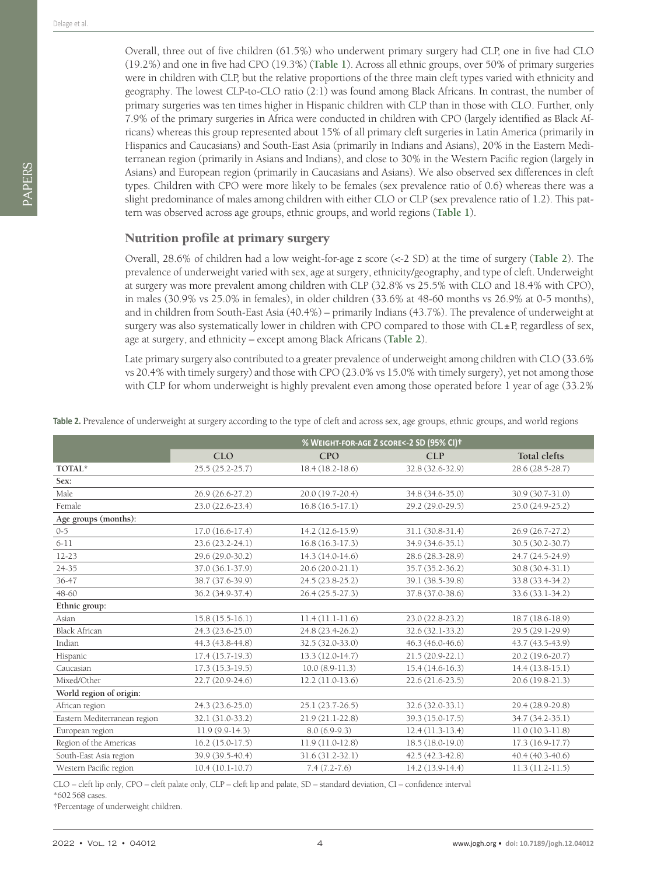Overall, three out of five children (61.5%) who underwent primary surgery had CLP, one in five had CLO (19.2%) and one in five had CPO (19.3%) (**[Table 1](#page-2-0)**). Across all ethnic groups, over 50% of primary surgeries were in children with CLP, but the relative proportions of the three main cleft types varied with ethnicity and geography. The lowest CLP-to-CLO ratio (2:1) was found among Black Africans. In contrast, the number of primary surgeries was ten times higher in Hispanic children with CLP than in those with CLO. Further, only 7.9% of the primary surgeries in Africa were conducted in children with CPO (largely identified as Black Africans) whereas this group represented about 15% of all primary cleft surgeries in Latin America (primarily in Hispanics and Caucasians) and South-East Asia (primarily in Indians and Asians), 20% in the Eastern Mediterranean region (primarily in Asians and Indians), and close to 30% in the Western Pacific region (largely in Asians) and European region (primarily in Caucasians and Asians). We also observed sex differences in cleft types. Children with CPO were more likely to be females (sex prevalence ratio of 0.6) whereas there was a slight predominance of males among children with either CLO or CLP (sex prevalence ratio of 1.2). This pattern was observed across age groups, ethnic groups, and world regions (**[Table 1](#page-2-0)**).

#### Nutrition profile at primary surgery

Overall, 28.6% of children had a low weight-for-age z score (<-2 SD) at the time of surgery (**[Table 2](#page-3-0)**). The prevalence of underweight varied with sex, age at surgery, ethnicity/geography, and type of cleft. Underweight at surgery was more prevalent among children with CLP (32.8% vs 25.5% with CLO and 18.4% with CPO), in males (30.9% vs 25.0% in females), in older children (33.6% at 48-60 months vs 26.9% at 0-5 months), and in children from South-East Asia (40.4%) – primarily Indians (43.7%). The prevalence of underweight at surgery was also systematically lower in children with CPO compared to those with  $CL<sub>±</sub>P$ , regardless of sex, age at surgery, and ethnicity – except among Black Africans (**[Table 2](#page-3-0)**).

Late primary surgery also contributed to a greater prevalence of underweight among children with CLO (33.6% vs 20.4% with timely surgery) and those with CPO (23.0% vs 15.0% with timely surgery), yet not among those with CLP for whom underweight is highly prevalent even among those operated before 1 year of age (33.2%

|                              | % WEIGHT-FOR-AGE Z SCORE<-2 SD (95% CI)+ |                     |                   |                     |  |  |  |  |
|------------------------------|------------------------------------------|---------------------|-------------------|---------------------|--|--|--|--|
|                              | <b>CLO</b>                               | <b>CPO</b>          | <b>CLP</b>        | <b>Total clefts</b> |  |  |  |  |
| TOTAL*                       | $25.5(25.2 - 25.7)$                      | $18.4(18.2 - 18.6)$ | 32.8 (32.6-32.9)  | 28.6 (28.5-28.7)    |  |  |  |  |
| Sex:                         |                                          |                     |                   |                     |  |  |  |  |
| Male                         | 26.9 (26.6-27.2)                         | 20.0 (19.7-20.4)    | 34.8 (34.6-35.0)  | 30.9 (30.7-31.0)    |  |  |  |  |
| Female                       | $23.0(22.6-23.4)$                        | $16.8(16.5-17.1)$   | 29.2 (29.0-29.5)  | $25.0(24.9-25.2)$   |  |  |  |  |
| Age groups (months):         |                                          |                     |                   |                     |  |  |  |  |
| $0 - 5$                      | $17.0(16.6-17.4)$                        | 14.2 (12.6-15.9)    | 31.1 (30.8-31.4)  | 26.9 (26.7-27.2)    |  |  |  |  |
| $6 - 11$                     | $23.6(23.2 - 24.1)$                      | $16.8(16.3-17.3)$   | 34.9 (34.6-35.1)  | 30.5 (30.2-30.7)    |  |  |  |  |
| $12 - 23$                    | 29.6 (29.0-30.2)                         | $14.3(14.0-14.6)$   | 28.6 (28.3-28.9)  | 24.7 (24.5-24.9)    |  |  |  |  |
| $24 - 35$                    | 37.0 (36.1-37.9)                         | 20.6 (20.0-21.1)    | 35.7 (35.2-36.2)  | 30.8 (30.4-31.1)    |  |  |  |  |
| 36-47                        | 38.7 (37.6-39.9)                         | 24.5 (23.8-25.2)    | 39.1 (38.5-39.8)  | 33.8 (33.4-34.2)    |  |  |  |  |
| $48 - 60$                    | 36.2 (34.9-37.4)                         | $26.4(25.5-27.3)$   | 37.8 (37.0-38.6)  | 33.6 (33.1-34.2)    |  |  |  |  |
| Ethnic group:                |                                          |                     |                   |                     |  |  |  |  |
| Asian                        | $15.8(15.5-16.1)$                        | $11.4(11.1-11.6)$   | 23.0 (22.8-23.2)  | 18.7 (18.6-18.9)    |  |  |  |  |
| <b>Black African</b>         | 24.3 (23.6-25.0)                         | 24.8 (23.4-26.2)    | 32.6 (32.1-33.2)  | 29.5 (29.1-29.9)    |  |  |  |  |
| Indian                       | 44.3 (43.8-44.8)                         | 32.5 (32.0-33.0)    | 46.3 (46.0-46.6)  | 43.7 (43.5-43.9)    |  |  |  |  |
| Hispanic                     | $17.4(15.7-19.3)$                        | 13.3 (12.0-14.7)    | $21.5(20.9-22.1)$ | 20.2 (19.6-20.7)    |  |  |  |  |
| Caucasian                    | $17.3(15.3-19.5)$                        | $10.0(8.9-11.3)$    | $15.4(14.6-16.3)$ | $14.4(13.8-15.1)$   |  |  |  |  |
| Mixed/Other                  | 22.7 (20.9-24.6)                         | $12.2(11.0-13.6)$   | $22.6(21.6-23.5)$ | $20.6(19.8-21.3)$   |  |  |  |  |
| World region of origin:      |                                          |                     |                   |                     |  |  |  |  |
| African region               | 24.3 (23.6-25.0)                         | 25.1 (23.7-26.5)    | 32.6 (32.0-33.1)  | 29.4 (28.9-29.8)    |  |  |  |  |
| Eastern Mediterranean region | 32.1 (31.0-33.2)                         | $21.9(21.1-22.8)$   | 39.3 (15.0-17.5)  | 34.7 (34.2-35.1)    |  |  |  |  |
| European region              | $11.9(9.9-14.3)$                         | $8.0(6.9-9.3)$      | $12.4(11.3-13.4)$ | $11.0(10.3-11.8)$   |  |  |  |  |
| Region of the Americas       | $16.2(15.0-17.5)$                        | $11.9(11.0-12.8)$   | $18.5(18.0-19.0)$ | $17.3(16.9-17.7)$   |  |  |  |  |
| South-East Asia region       | 39.9 (39.5-40.4)                         | $31.6(31.2-32.1)$   | 42.5 (42.3-42.8)  | $40.4(40.3-40.6)$   |  |  |  |  |
| Western Pacific region       | $10.4(10.1-10.7)$                        | $7.4(7.2 - 7.6)$    | 14.2 (13.9-14.4)  | $11.3(11.2-11.5)$   |  |  |  |  |

<span id="page-3-0"></span>Table 2. Prevalence of underweight at surgery according to the type of cleft and across sex, age groups, ethnic groups, and world regions

CLO – cleft lip only, CPO – cleft palate only, CLP – cleft lip and palate, SD – standard deviation, CI – confidence interval

\*602568 cases.

†Percentage of underweight children.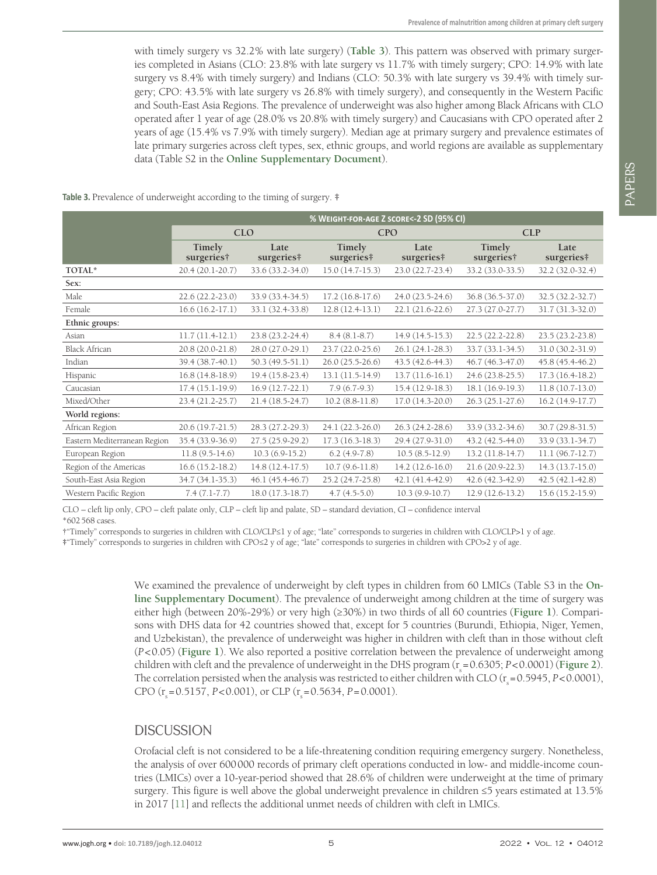with timely surgery vs 32.2% with late surgery) (**[Table 3](#page-4-0)**). This pattern was observed with primary surgeries completed in Asians (CLO: 23.8% with late surgery vs 11.7% with timely surgery; CPO: 14.9% with late surgery vs 8.4% with timely surgery) and Indians (CLO: 50.3% with late surgery vs 39.4% with timely surgery; CPO: 43.5% with late surgery vs 26.8% with timely surgery), and consequently in the Western Pacific and South-East Asia Regions. The prevalence of underweight was also higher among Black Africans with CLO operated after 1 year of age (28.0% vs 20.8% with timely surgery) and Caucasians with CPO operated after 2 years of age (15.4% vs 7.9% with timely surgery). Median age at primary surgery and prevalence estimates of late primary surgeries across cleft types, sex, ethnic groups, and world regions are available as supplementary data (Table S2 in the **[Online Supplementary Document](#page-8-10)**).

<span id="page-4-0"></span>**Table 3.** Prevalence of underweight according to the timing of surgery. **‡**

|                              | % WEIGHT-FOR-AGE Z SCORE<-2 SD (95% CI) |                     |                      |                    |                      |                    |  |  |
|------------------------------|-----------------------------------------|---------------------|----------------------|--------------------|----------------------|--------------------|--|--|
|                              |                                         | <b>CLO</b>          | <b>CPO</b>           |                    | <b>CLP</b>           |                    |  |  |
|                              | Timely<br>surgeries†                    | Late<br>surgeries#  | Timely<br>surgeries# | Late<br>surgeries# | Timely<br>surgeries† | Late<br>surgeries# |  |  |
| TOTAL*                       | 20.4 (20.1-20.7)                        | 33.6 (33.2-34.0)    | $15.0(14.7-15.3)$    | 23.0 (22.7-23.4)   | 33.2 (33.0-33.5)     | 32.2 (32.0-32.4)   |  |  |
| Sex:                         |                                         |                     |                      |                    |                      |                    |  |  |
| Male                         | $22.6(22.2 - 23.0)$                     | 33.9 (33.4-34.5)    | $17.2(16.8-17.6)$    | 24.0 (23.5-24.6)   | 36.8 (36.5-37.0)     | 32.5 (32.2-32.7)   |  |  |
| Female                       | $16.6(16.2-17.1)$                       | 33.1 (32.4-33.8)    | $12.8(12.4-13.1)$    | $22.1(21.6-22.6)$  | 27.3 (27.0-27.7)     | $31.7(31.3-32.0)$  |  |  |
| Ethnic groups:               |                                         |                     |                      |                    |                      |                    |  |  |
| Asian                        | $11.7(11.4-12.1)$                       | $23.8(23.2 - 24.4)$ | $8.4(8.1-8.7)$       | $14.9(14.5-15.3)$  | 22.5 (22.2-22.8)     | 23.5 (23.2-23.8)   |  |  |
| <b>Black African</b>         | 20.8 (20.0-21.8)                        | 28.0 (27.0-29.1)    | 23.7 (22.0-25.6)     | 26.1 (24.1-28.3)   | 33.7 (33.1-34.5)     | 31.0 (30.2-31.9)   |  |  |
| Indian                       | 39.4 (38.7-40.1)                        | 50.3 (49.5-51.1)    | $26.0(25.5-26.6)$    | 43.5 (42.6-44.3)   | 46.7 (46.3-47.0)     | 45.8 (45.4-46.2)   |  |  |
| Hispanic                     | $16.8(14.8-18.9)$                       | $19.4(15.8-23.4)$   | 13.1 (11.5-14.9)     | $13.7(11.6-16.1)$  | 24.6 (23.8-25.5)     | $17.3(16.4-18.2)$  |  |  |
| Caucasian                    | $17.4(15.1-19.9)$                       | $16.9(12.7-22.1)$   | $7.9(6.7-9.3)$       | $15.4(12.9-18.3)$  | 18.1 (16.9-19.3)     | $11.8(10.7-13.0)$  |  |  |
| Mixed/Other                  | 23.4 (21.2-25.7)                        | $21.4(18.5-24.7)$   | $10.2 (8.8-11.8)$    | $17.0(14.3-20.0)$  | 26.3 (25.1-27.6)     | $16.2(14.9-17.7)$  |  |  |
| World regions:               |                                         |                     |                      |                    |                      |                    |  |  |
| African Region               | 20.6 (19.7-21.5)                        | 28.3 (27.2-29.3)    | 24.1 (22.3-26.0)     | 26.3 (24.2-28.6)   | 33.9 (33.2-34.6)     | $30.7(29.8-31.5)$  |  |  |
| Eastern Mediterranean Region | 35.4 (33.9-36.9)                        | 27.5 (25.9-29.2)    | $17.3(16.3-18.3)$    | 29.4 (27.9-31.0)   | 43.2 (42.5-44.0)     | 33.9 (33.1-34.7)   |  |  |
| European Region              | $11.8(9.5-14.6)$                        | $10.3(6.9-15.2)$    | $6.2$ (4.9-7.8)      | $10.5(8.5-12.9)$   | $13.2(11.8-14.7)$    | $11.1(96.7-12.7)$  |  |  |
| Region of the Americas       | $16.6(15.2-18.2)$                       | $14.8(12.4-17.5)$   | $10.7(9.6-11.8)$     | $14.2(12.6-16.0)$  | 21.6 (20.9-22.3)     | $14.3(13.7-15.0)$  |  |  |
| South-East Asia Region       | 34.7 (34.1-35.3)                        | $46.1(45.4-46.7)$   | 25.2 (24.7-25.8)     | 42.1 (41.4-42.9)   | 42.6 (42.3-42.9)     | $42.5(42.1-42.8)$  |  |  |
| Western Pacific Region       | $7.4(7.1-7.7)$                          | 18.0 (17.3-18.7)    | $4.7(4.5-5.0)$       | $10.3(9.9-10.7)$   | $12.9(12.6-13.2)$    | 15.6 (15.2-15.9)   |  |  |

CLO – cleft lip only, CPO – cleft palate only, CLP – cleft lip and palate, SD – standard deviation, CI – confidence interval

\*602568 cases.

†"Timely" corresponds to surgeries in children with CLO/CLP≤1 y of age; "late" corresponds to surgeries in children with CLO/CLP>1 y of age.

**‡**"Timely" corresponds to surgeries in children with CPO≤2 y of age; "late" corresponds to surgeries in children with CPO>2 y of age.

We examined the prevalence of underweight by cleft types in children from 60 LMICs (Table S3 in the **[On](#page-8-10)[line Supplementary Document](#page-8-10)**). The prevalence of underweight among children at the time of surgery was either high (between 20%-29%) or very high (≥30%) in two thirds of all 60 countries (**[Figure 1](#page-5-0)**). Comparisons with DHS data for 42 countries showed that, except for 5 countries (Burundi, Ethiopia, Niger, Yemen, and Uzbekistan), the prevalence of underweight was higher in children with cleft than in those without cleft (*P*<0.05) (**[Figure 1](#page-5-0)**). We also reported a positive correlation between the prevalence of underweight among children with cleft and the prevalence of underweight in the DHS program ( $r_s = 0.6305$ ; *P*<0.0001) ([Figure 2](#page-6-0)). The correlation persisted when the analysis was restricted to either children with CLO ( $r_s = 0.5945, P < 0.0001$ ), CPO ( $r_s = 0.5157$ , *P*<0.001), or CLP ( $r_s = 0.5634$ , *P*=0.0001).

### **DISCUSSION**

Orofacial cleft is not considered to be a life-threatening condition requiring emergency surgery. Nonetheless, the analysis of over 600000 records of primary cleft operations conducted in low- and middle-income countries (LMICs) over a 10-year-period showed that 28.6% of children were underweight at the time of primary surgery. This figure is well above the global underweight prevalence in children ≤5 years estimated at 13.5% in 2017 [\[11](#page-8-11)] and reflects the additional unmet needs of children with cleft in LMICs.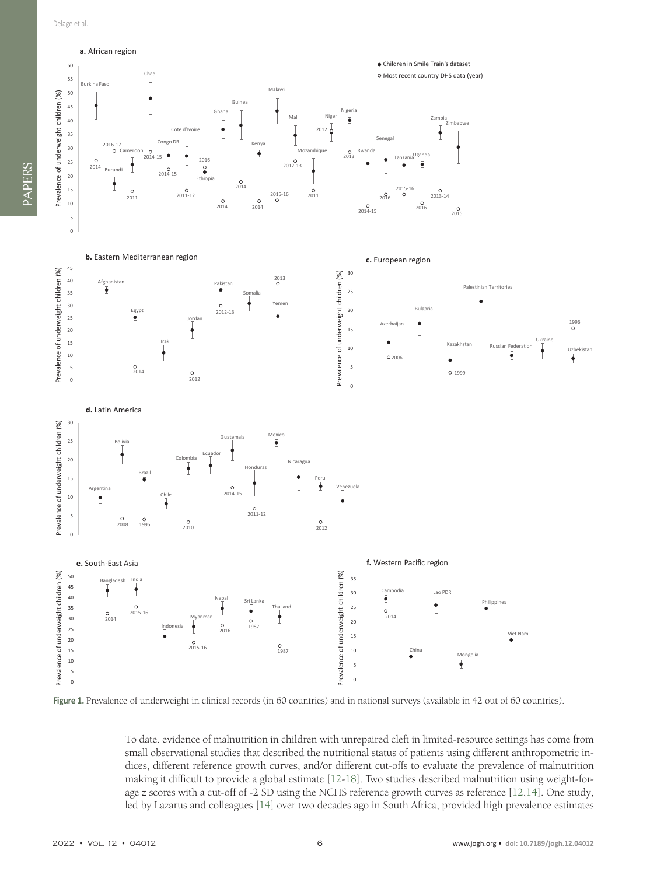<span id="page-5-0"></span>

**Figure 1.** Prevalence of underweight in clinical records (in 60 countries) and in national surveys (available in 42 out of 60 countries).

To date, evidence of malnutrition in children with unrepaired cleft in limited-resource settings has come from small observational studies that described the nutritional status of patients using different anthropometric indices, different reference growth curves, and/or different cut-offs to evaluate the prevalence of malnutrition making it difficult to provide a global estimate [[12-](#page-8-12)[18](#page-8-13)]. Two studies described malnutrition using weight-forage z scores with a cut-off of -2 SD using the NCHS reference growth curves as reference [\[12](#page-8-12)[,14](#page-8-14)]. One study, led by Lazarus and colleagues [\[14](#page-8-14)] over two decades ago in South Africa, provided high prevalence estimates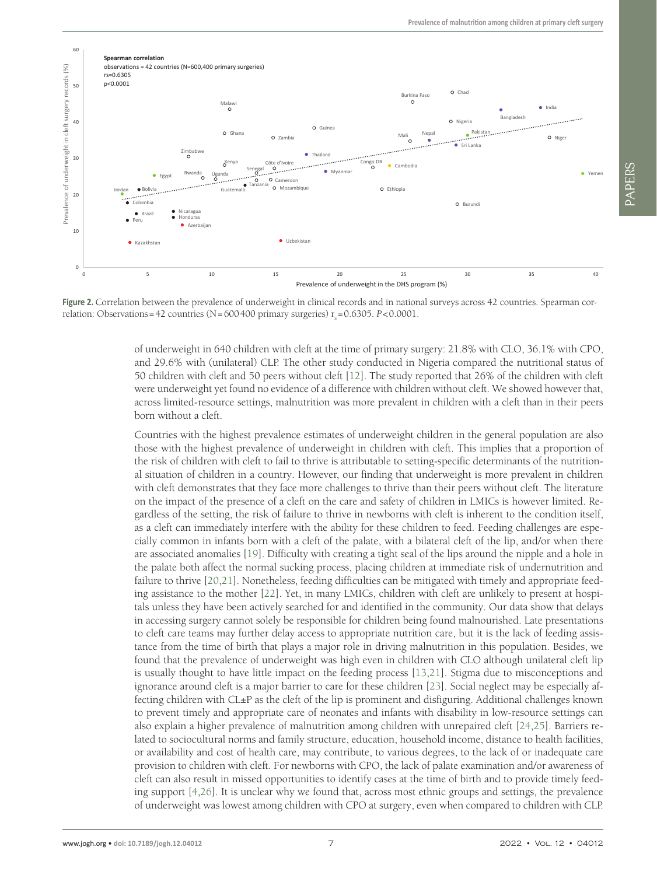<span id="page-6-0"></span>

**Figure 2.** Correlation between the prevalence of underweight in clinical records and in national surveys across 42 countries. Spearman correlation: Observations = 42 countries (N = 600 400 primary surgeries)  $r<sub>s</sub>$  = 0.6305. *P*<0.0001.

of underweight in 640 children with cleft at the time of primary surgery: 21.8% with CLO, 36.1% with CPO, and 29.6% with (unilateral) CLP. The other study conducted in Nigeria compared the nutritional status of 50 children with cleft and 50 peers without cleft [[12\]](#page-8-12). The study reported that 26% of the children with cleft were underweight yet found no evidence of a difference with children without cleft. We showed however that, across limited-resource settings, malnutrition was more prevalent in children with a cleft than in their peers born without a cleft.

Countries with the highest prevalence estimates of underweight children in the general population are also those with the highest prevalence of underweight in children with cleft. This implies that a proportion of the risk of children with cleft to fail to thrive is attributable to setting-specific determinants of the nutritional situation of children in a country. However, our finding that underweight is more prevalent in children with cleft demonstrates that they face more challenges to thrive than their peers without cleft. The literature on the impact of the presence of a cleft on the care and safety of children in LMICs is however limited. Regardless of the setting, the risk of failure to thrive in newborns with cleft is inherent to the condition itself, as a cleft can immediately interfere with the ability for these children to feed. Feeding challenges are especially common in infants born with a cleft of the palate, with a bilateral cleft of the lip, and/or when there are associated anomalies [[19](#page-8-15)]. Difficulty with creating a tight seal of the lips around the nipple and a hole in the palate both affect the normal sucking process, placing children at immediate risk of undernutrition and failure to thrive [\[20](#page-8-16)[,21](#page-8-17)]. Nonetheless, feeding difficulties can be mitigated with timely and appropriate feeding assistance to the mother [[22\]](#page-9-0). Yet, in many LMICs, children with cleft are unlikely to present at hospitals unless they have been actively searched for and identified in the community. Our data show that delays in accessing surgery cannot solely be responsible for children being found malnourished. Late presentations to cleft care teams may further delay access to appropriate nutrition care, but it is the lack of feeding assistance from the time of birth that plays a major role in driving malnutrition in this population. Besides, we found that the prevalence of underweight was high even in children with CLO although unilateral cleft lip is usually thought to have little impact on the feeding process [[13](#page-8-18)[,21\]](#page-8-17). Stigma due to misconceptions and ignorance around cleft is a major barrier to care for these children [\[23\]](#page-9-1). Social neglect may be especially affecting children with CL±P as the cleft of the lip is prominent and disfiguring. Additional challenges known to prevent timely and appropriate care of neonates and infants with disability in low-resource settings can also explain a higher prevalence of malnutrition among children with unrepaired cleft [\[24](#page-9-2),[25](#page-9-3)]. Barriers related to sociocultural norms and family structure, education, household income, distance to health facilities, or availability and cost of health care, may contribute, to various degrees, to the lack of or inadequate care provision to children with cleft. For newborns with CPO, the lack of palate examination and/or awareness of cleft can also result in missed opportunities to identify cases at the time of birth and to provide timely feeding support [\[4](#page-8-3),[26\]](#page-9-4). It is unclear why we found that, across most ethnic groups and settings, the prevalence of underweight was lowest among children with CPO at surgery, even when compared to children with CLP.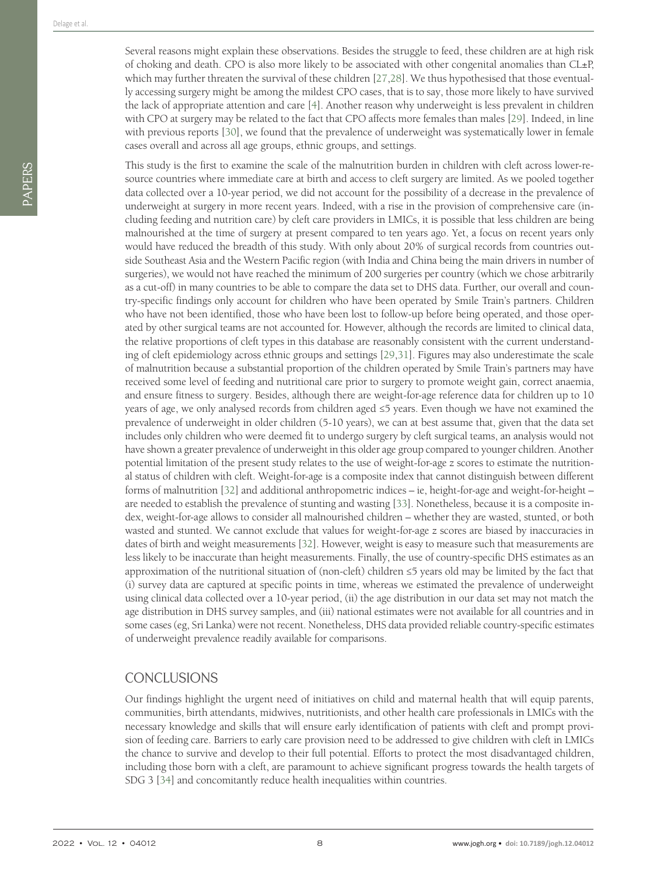This study is the first to examine the scale of the malnutrition burden in children with cleft across lower-resource countries where immediate care at birth and access to cleft surgery are limited. As we pooled together data collected over a 10-year period, we did not account for the possibility of a decrease in the prevalence of underweight at surgery in more recent years. Indeed, with a rise in the provision of comprehensive care (including feeding and nutrition care) by cleft care providers in LMICs, it is possible that less children are being malnourished at the time of surgery at present compared to ten years ago. Yet, a focus on recent years only would have reduced the breadth of this study. With only about 20% of surgical records from countries outside Southeast Asia and the Western Pacific region (with India and China being the main drivers in number of surgeries), we would not have reached the minimum of 200 surgeries per country (which we chose arbitrarily as a cut-off) in many countries to be able to compare the data set to DHS data. Further, our overall and country-specific findings only account for children who have been operated by Smile Train's partners. Children who have not been identified, those who have been lost to follow-up before being operated, and those operated by other surgical teams are not accounted for. However, although the records are limited to clinical data, the relative proportions of cleft types in this database are reasonably consistent with the current understanding of cleft epidemiology across ethnic groups and settings [[29](#page-9-7),[31\]](#page-9-9). Figures may also underestimate the scale of malnutrition because a substantial proportion of the children operated by Smile Train's partners may have received some level of feeding and nutritional care prior to surgery to promote weight gain, correct anaemia, and ensure fitness to surgery. Besides, although there are weight-for-age reference data for children up to 10 years of age, we only analysed records from children aged ≤5 years. Even though we have not examined the prevalence of underweight in older children (5-10 years), we can at best assume that, given that the data set includes only children who were deemed fit to undergo surgery by cleft surgical teams, an analysis would not have shown a greater prevalence of underweight in this older age group compared to younger children. Another potential limitation of the present study relates to the use of weight-for-age z scores to estimate the nutritional status of children with cleft. Weight-for-age is a composite index that cannot distinguish between different forms of malnutrition [\[32](#page-9-10)] and additional anthropometric indices – ie, height-for-age and weight-for-height – are needed to establish the prevalence of stunting and wasting [\[33](#page-9-11)]. Nonetheless, because it is a composite index, weight-for-age allows to consider all malnourished children – whether they are wasted, stunted, or both wasted and stunted. We cannot exclude that values for weight-for-age z scores are biased by inaccuracies in dates of birth and weight measurements [\[32\]](#page-9-10). However, weight is easy to measure such that measurements are less likely to be inaccurate than height measurements. Finally, the use of country-specific DHS estimates as an approximation of the nutritional situation of (non-cleft) children ≤5 years old may be limited by the fact that (i) survey data are captured at specific points in time, whereas we estimated the prevalence of underweight using clinical data collected over a 10-year period, (ii) the age distribution in our data set may not match the age distribution in DHS survey samples, and (iii) national estimates were not available for all countries and in some cases (eg, Sri Lanka) were not recent. Nonetheless, DHS data provided reliable country-specific estimates of underweight prevalence readily available for comparisons.

# CONCLUSIONS

Our findings highlight the urgent need of initiatives on child and maternal health that will equip parents, communities, birth attendants, midwives, nutritionists, and other health care professionals in LMICs with the necessary knowledge and skills that will ensure early identification of patients with cleft and prompt provision of feeding care. Barriers to early care provision need to be addressed to give children with cleft in LMICs the chance to survive and develop to their full potential. Efforts to protect the most disadvantaged children, including those born with a cleft, are paramount to achieve significant progress towards the health targets of SDG 3 [[34](#page-9-12)] and concomitantly reduce health inequalities within countries.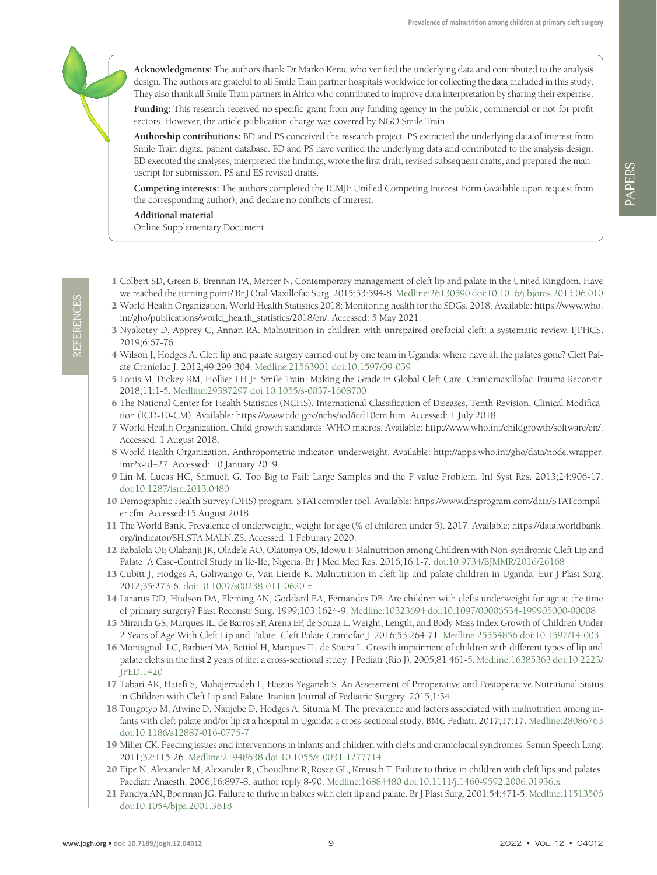**Acknowledgments:** The authors thank Dr Marko Kerac who verified the underlying data and contributed to the analysis design. The authors are grateful to all Smile Train partner hospitals worldwide for collecting the data included in this study. They also thank all Smile Train partners in Africa who contributed to improve data interpretation by sharing their expertise.

**Funding:** This research received no specific grant from any funding agency in the public, commercial or not-for-profit sectors. However, the article publication charge was covered by NGO Smile Train.

**Authorship contributions:** BD and PS conceived the research project. PS extracted the underlying data of interest from Smile Train digital patient database. BD and PS have verified the underlying data and contributed to the analysis design. BD executed the analyses, interpreted the findings, wrote the first draft, revised subsequent drafts, and prepared the manuscript for submission. PS and ES revised drafts.

**Competing interests:** The authors completed the ICMJE Unified Competing Interest Form (available upon request from the corresponding author), and declare no conflicts of interest.

#### **Additional material**

<span id="page-8-10"></span>[Online Supplementary Document](https://jogh.org/documents/2022/jogh-12-04012-s001.pdf)

- <span id="page-8-0"></span>1 Colbert SD, Green B, Brennan PA, Mercer N. Contemporary management of cleft lip and palate in the United Kingdom. Have we reached the turning point? Br J Oral Maxillofac Surg. 2015;53:594-8. [Medline:26130590](https://www.ncbi.nlm.nih.gov/entrez/query.fcgi?cmd=Retrieve&db=PubMed&list_uids=26130590&dopt=Abstract) [doi:10.1016/j.bjoms.2015.06.010](https://doi.org/10.1016/j.bjoms.2015.06.010)
- <span id="page-8-1"></span>2 World Health Organization. World Health Statistics 2018: Monitoring health for the SDGs. 2018. Available: [https://www.who.](https://www.who.int/gho/publications/world_health_statistics/2018/en/) [int/gho/publications/world\\_health\\_statistics/2018/en/.](https://www.who.int/gho/publications/world_health_statistics/2018/en/) Accessed: 5 May 2021.
- <span id="page-8-2"></span>3 Nyakotey D, Apprey C, Annan RA. Malnutrition in children with unrepaired orofacial cleft: a systematic review. IJPHCS. 2019;6:67-76.
- <span id="page-8-3"></span>4 Wilson J, Hodges A. Cleft lip and palate surgery carried out by one team in Uganda: where have all the palates gone? Cleft Palate Craniofac J. 2012;49:299-304. [Medline:21563901](https://www.ncbi.nlm.nih.gov/entrez/query.fcgi?cmd=Retrieve&db=PubMed&list_uids=21563901&dopt=Abstract) [doi:10.1597/09-039](https://doi.org/10.1597/09-039)
- <span id="page-8-4"></span>5 Louis M, Dickey RM, Hollier LH Jr. Smile Train: Making the Grade in Global Cleft Care. Craniomaxillofac Trauma Reconstr. 2018;11:1-5. [Medline:29387297](https://www.ncbi.nlm.nih.gov/entrez/query.fcgi?cmd=Retrieve&db=PubMed&list_uids=29387297&dopt=Abstract) [doi:10.1055/s-0037-1608700](https://doi.org/10.1055/s-0037-1608700)
- <span id="page-8-5"></span>6 The National Center for Health Statistics (NCHS). International Classification of Diseases, Tenth Revision, Clinical Modification (ICD-10-CM). Available: [https://www.cdc.gov/nchs/icd/icd10cm.htm.](https://www.cdc.gov/nchs/icd/icd10cm.htm) Accessed: 1 July 2018.
- <span id="page-8-6"></span>7 World Health Organization. Child growth standards: WHO macros. Available: [http://www.who.int/childgrowth/software/en/.](http://www.who.int/childgrowth/software/en/) Accessed: 1 August 2018.
- <span id="page-8-7"></span>8 World Health Organization. Anthropometric indicator: underweight. Available: [http://apps.who.int/gho/data/node.wrapper.](http://apps.who.int/gho/data/node.wrapper.imr?x-id=27) [imr?x-id=27](http://apps.who.int/gho/data/node.wrapper.imr?x-id=27). Accessed: 10 January 2019.
- <span id="page-8-8"></span>9 Lin M, Lucas HC, Shmueli G. Too Big to Fail: Large Samples and the P value Problem. Inf Syst Res. 2013;24:906-17. [doi:10.1287/isre.2013.0480](https://doi.org/10.1287/isre.2013.0480)
- <span id="page-8-9"></span>10 Demographic Health Survey (DHS) program. STATcompiler tool. Available: [https://www.dhsprogram.com/data/STATcompil](https://www.dhsprogram.com/data/STATcompiler.cfm)[er.cfm](https://www.dhsprogram.com/data/STATcompiler.cfm). Accessed:15 August 2018.
- <span id="page-8-11"></span>11 The World Bank. Prevalence of underweight, weight for age (% of children under 5). 2017. Available: [https://data.worldbank.](https://data.worldbank.org/indicator/SH.STA.MALN.ZS) [org/indicator/SH.STA.MALN.ZS](https://data.worldbank.org/indicator/SH.STA.MALN.ZS). Accessed: 1 Feburary 2020.
- <span id="page-8-12"></span>12 Babalola OF, Olabanji JK, Oladele AO, Olatunya OS, Idowu F. Malnutrition among Children with Non-syndromic Cleft Lip and Palate: A Case-Control Study in Ile-Ife, Nigeria. Br J Med Med Res. 2016;16:1-7. [doi:10.9734/BJMMR/2016/26168](https://doi.org/10.9734/BJMMR/2016/26168)
- <span id="page-8-18"></span>13 Cubitt J, Hodges A, Galiwango G, Van Lierde K. Malnutrition in cleft lip and palate children in Uganda. Eur J Plast Surg. 2012;35:273-6. [doi:10.1007/s00238-011-0620-z](https://doi.org/10.1007/s00238-011-0620-z)
- <span id="page-8-14"></span>14 Lazarus DD, Hudson DA, Fleming AN, Goddard EA, Fernandes DB. Are children with clefts underweight for age at the time of primary surgery? Plast Reconstr Surg. 1999;103:1624-9. [Medline:10323694](https://www.ncbi.nlm.nih.gov/entrez/query.fcgi?cmd=Retrieve&db=PubMed&list_uids=10323694&dopt=Abstract) [doi:10.1097/00006534-199905000-00008](https://doi.org/10.1097/00006534-199905000-00008)
- 15 Miranda GS, Marques IL, de Barros SP, Arena EP, de Souza L. Weight, Length, and Body Mass Index Growth of Children Under 2 Years of Age With Cleft Lip and Palate. Cleft Palate Craniofac J. 2016;53:264-71. [Medline:25554856](https://www.ncbi.nlm.nih.gov/entrez/query.fcgi?cmd=Retrieve&db=PubMed&list_uids=25554856&dopt=Abstract) [doi:10.1597/14-003](https://doi.org/10.1597/14-003)
- 16 Montagnoli LC, Barbieri MA, Bettiol H, Marques IL, de Souza L. Growth impairment of children with different types of lip and palate clefts in the first 2 years of life: a cross-sectional study. J Pediatr (Rio J). 2005;81:461-5. [Medline:16385363](https://www.ncbi.nlm.nih.gov/entrez/query.fcgi?cmd=Retrieve&db=PubMed&list_uids=16385363&dopt=Abstract) [doi:10.2223/](https://doi.org/10.2223/JPED.1420) [JPED.1420](https://doi.org/10.2223/JPED.1420)
- 17 Tabari AK, Hatefi S, Mohajerzadeh L, Hassas-Yeganeh S. An Assessment of Preoperative and Postoperative Nutritional Status in Children with Cleft Lip and Palate. Iranian Journal of Pediatric Surgery. 2015;1:34.
- <span id="page-8-13"></span>18 Tungotyo M, Atwine D, Nanjebe D, Hodges A, Situma M. The prevalence and factors associated with malnutrition among infants with cleft palate and/or lip at a hospital in Uganda: a cross-sectional study. BMC Pediatr. 2017;17:17. [Medline:28086763](https://www.ncbi.nlm.nih.gov/entrez/query.fcgi?cmd=Retrieve&db=PubMed&list_uids=28086763&dopt=Abstract) [doi:10.1186/s12887-016-0775-7](https://doi.org/10.1186/s12887-016-0775-7)
- <span id="page-8-15"></span>19 Miller CK. Feeding issues and interventions in infants and children with clefts and craniofacial syndromes. Semin Speech Lang. 2011;32:115-26. [Medline:21948638](https://www.ncbi.nlm.nih.gov/entrez/query.fcgi?cmd=Retrieve&db=PubMed&list_uids=21948638&dopt=Abstract) [doi:10.1055/s-0031-1277714](https://doi.org/10.1055/s-0031-1277714)
- <span id="page-8-16"></span>20 Eipe N, Alexander M, Alexander R, Choudhrie R, Rosee GL, Kreusch T. Failure to thrive in children with cleft lips and palates. Paediatr Anaesth. 2006;16:897-8, author reply 8-90. [Medline:16884480](https://www.ncbi.nlm.nih.gov/entrez/query.fcgi?cmd=Retrieve&db=PubMed&list_uids=16884480&dopt=Abstract) [doi:10.1111/j.1460-9592.2006.01936.x](https://doi.org/10.1111/j.1460-9592.2006.01936.x)
- <span id="page-8-17"></span>21 Pandya AN, Boorman JG. Failure to thrive in babies with cleft lip and palate. Br J Plast Surg. 2001;54:471-5. [Medline:11513506](https://www.ncbi.nlm.nih.gov/entrez/query.fcgi?cmd=Retrieve&db=PubMed&list_uids=11513506&dopt=Abstract) [doi:10.1054/bjps.2001.3618](https://doi.org/10.1054/bjps.2001.3618)